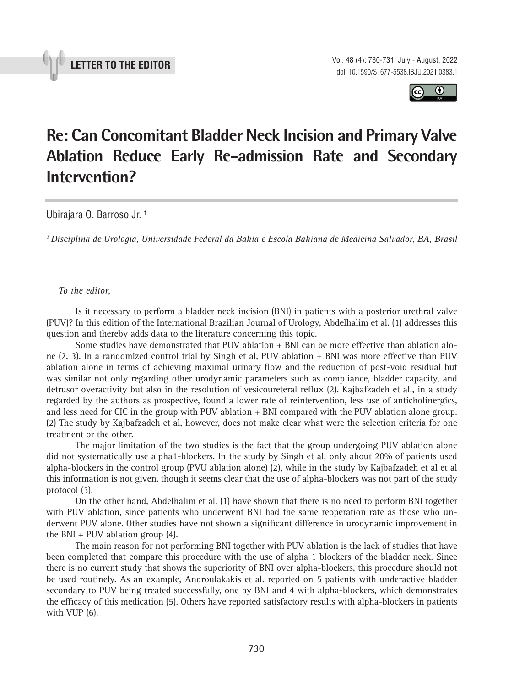



# **Re: Can Concomitant Bladder Neck Incision and Primary Valve Ablation Reduce Early Re-admission Rate and Secondary Intervention? \_\_\_\_\_\_\_\_\_\_\_\_\_\_\_\_\_\_\_\_\_\_\_\_\_\_\_\_\_\_\_\_\_\_\_\_\_\_\_\_\_\_\_\_\_\_\_**

Ubirajara O. Barroso Jr. 1

*1 Disciplina de Urologia, Universidade Federal da Bahia e Escola Bahiana de Medicina Salvador, BA, Brasil*

## *To the editor,*

Is it necessary to perform a bladder neck incision (BNI) in patients with a posterior urethral valve (PUV)? In this edition of the International Brazilian Journal of Urology, Abdelhalim et al. (1) addresses this question and thereby adds data to the literature concerning this topic.

Some studies have demonstrated that PUV ablation + BNI can be more effective than ablation alone (2, 3). In a randomized control trial by Singh et al, PUV ablation + BNI was more effective than PUV ablation alone in terms of achieving maximal urinary flow and the reduction of post-void residual but was similar not only regarding other urodynamic parameters such as compliance, bladder capacity, and detrusor overactivity but also in the resolution of vesicoureteral reflux (2). Kajbafzadeh et al., in a study regarded by the authors as prospective, found a lower rate of reintervention, less use of anticholinergics, and less need for CIC in the group with PUV ablation + BNI compared with the PUV ablation alone group. (2) The study by Kajbafzadeh et al, however, does not make clear what were the selection criteria for one treatment or the other.

The major limitation of the two studies is the fact that the group undergoing PUV ablation alone did not systematically use alpha1-blockers. In the study by Singh et al, only about 20% of patients used alpha-blockers in the control group (PVU ablation alone) (2), while in the study by Kajbafzadeh et al et al this information is not given, though it seems clear that the use of alpha-blockers was not part of the study protocol (3).

On the other hand, Abdelhalim et al. (1) have shown that there is no need to perform BNI together with PUV ablation, since patients who underwent BNI had the same reoperation rate as those who underwent PUV alone. Other studies have not shown a significant difference in urodynamic improvement in the BNI + PUV ablation group (4).

The main reason for not performing BNI together with PUV ablation is the lack of studies that have been completed that compare this procedure with the use of alpha 1 blockers of the bladder neck. Since there is no current study that shows the superiority of BNI over alpha-blockers, this procedure should not be used routinely. As an example, Androulakakis et al. reported on 5 patients with underactive bladder secondary to PUV being treated successfully, one by BNI and 4 with alpha-blockers, which demonstrates the efficacy of this medication (5). Others have reported satisfactory results with alpha-blockers in patients with VUP (6).